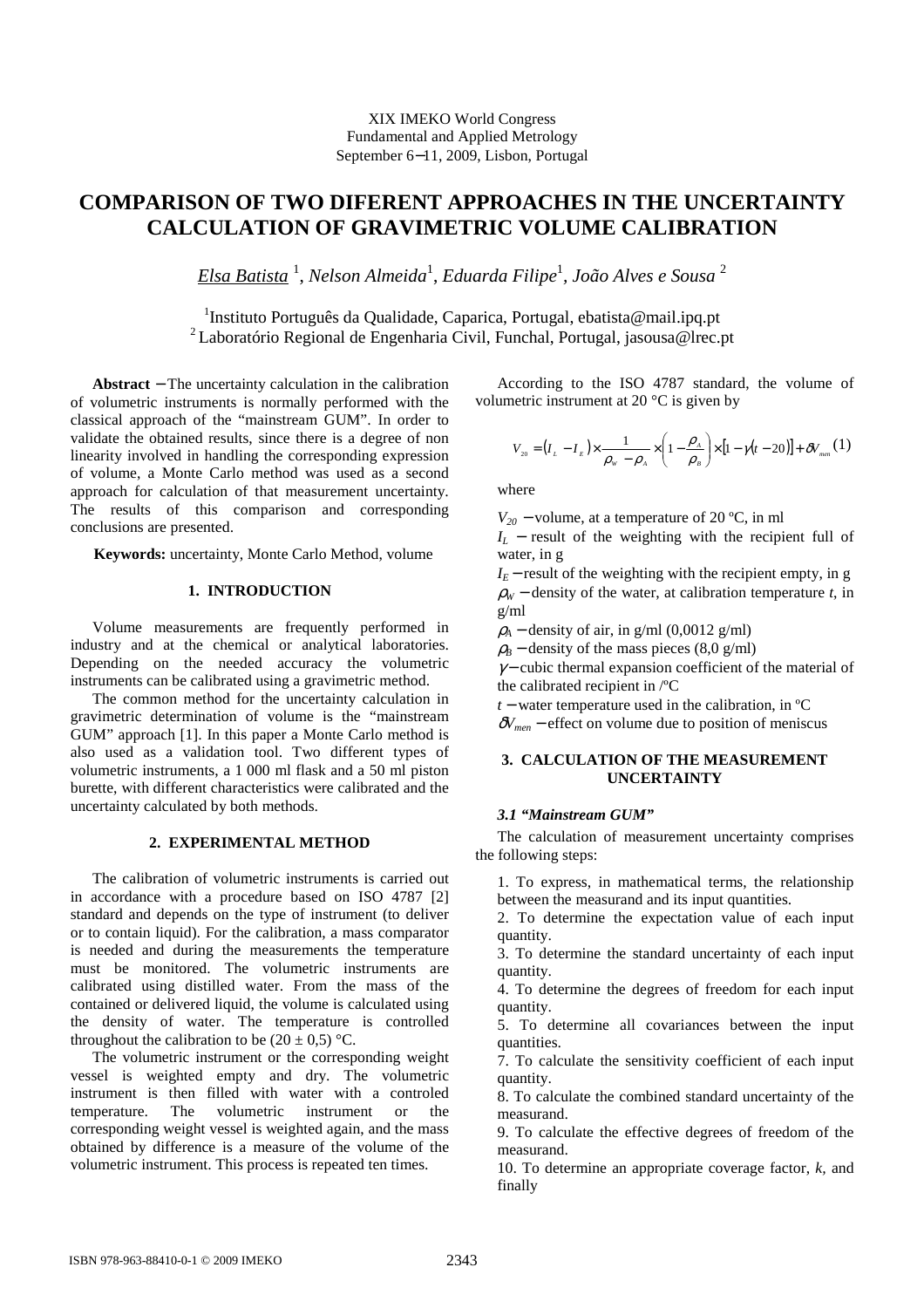# **COMPARISON OF TWO DIFERENT APPROACHES IN THE UNCERTAINTY CALCULATION OF GRAVIMETRIC VOLUME CALIBRATION**

*Elsa Batista* <sup>1</sup> , *Nelson Almeida*<sup>1</sup> , *Eduarda Filipe*<sup>1</sup> *, João Alves e Sousa* <sup>2</sup>

<sup>1</sup>Instituto Português da Qualidade, Caparica, Portugal, ebatista@mail.ipq.pt <sup>2</sup>Laboratório Regional de Engenharia Civil, Funchal, Portugal, jasousa@lrec.pt

**Abstract** − The uncertainty calculation in the calibration of volumetric instruments is normally performed with the classical approach of the "mainstream GUM". In order to validate the obtained results, since there is a degree of non linearity involved in handling the corresponding expression of volume, a Monte Carlo method was used as a second approach for calculation of that measurement uncertainty. The results of this comparison and corresponding conclusions are presented.

**Keywords:** uncertainty, Monte Carlo Method, volume

## **1. INTRODUCTION**

Volume measurements are frequently performed in industry and at the chemical or analytical laboratories. Depending on the needed accuracy the volumetric instruments can be calibrated using a gravimetric method.

The common method for the uncertainty calculation in gravimetric determination of volume is the "mainstream GUM" approach [1]. In this paper a Monte Carlo method is also used as a validation tool. Two different types of volumetric instruments, a 1 000 ml flask and a 50 ml piston burette, with different characteristics were calibrated and the uncertainty calculated by both methods.

# **2. EXPERIMENTAL METHOD**

The calibration of volumetric instruments is carried out in accordance with a procedure based on ISO 4787 [2] standard and depends on the type of instrument (to deliver or to contain liquid). For the calibration, a mass comparator is needed and during the measurements the temperature must be monitored. The volumetric instruments are calibrated using distilled water. From the mass of the contained or delivered liquid, the volume is calculated using the density of water. The temperature is controlled throughout the calibration to be  $(20 \pm 0.5)$  °C.

The volumetric instrument or the corresponding weight vessel is weighted empty and dry. The volumetric instrument is then filled with water with a controled temperature. The volumetric instrument or the corresponding weight vessel is weighted again, and the mass obtained by difference is a measure of the volume of the volumetric instrument. This process is repeated ten times.

According to the ISO 4787 standard, the volume of volumetric instrument at 20 °C is given by

$$
V_{20} = (I_L - I_E) \times \frac{1}{\rho_w - \rho_A} \times \left(1 - \frac{\rho_A}{\rho_B}\right) \times [1 - \gamma (t - 20)] + \delta V_{\text{max}}(1)
$$

where

 $V_{20}$  – volume, at a temperature of 20 °C, in ml

 $I_L$  − result of the weighting with the recipient full of water, in g

 $I_E$  – result of the weighting with the recipient empty, in g  $\rho_W$  – density of the water, at calibration temperature *t*, in g/ml

 $\rho_A$  – density of air, in g/ml (0,0012 g/ml)

 $\rho_B$  – density of the mass pieces (8,0 g/ml)

 $\gamma$  – cubic thermal expansion coefficient of the material of the calibrated recipient in /ºC

*t* − water temperature used in the calibration, in <sup>o</sup>C

 $\delta V_{\text{men}}$  – effect on volume due to position of meniscus

## **3. CALCULATION OF THE MEASUREMENT UNCERTAINTY**

## *3.1 "Mainstream GUM"*

The calculation of measurement uncertainty comprises the following steps:

1. To express, in mathematical terms, the relationship between the measurand and its input quantities.

2. To determine the expectation value of each input quantity.

3. To determine the standard uncertainty of each input quantity.

4. To determine the degrees of freedom for each input quantity.

5. To determine all covariances between the input quantities.

7. To calculate the sensitivity coefficient of each input quantity.

8. To calculate the combined standard uncertainty of the measurand.

9. To calculate the effective degrees of freedom of the measurand.

10. To determine an appropriate coverage factor, *k,* and finally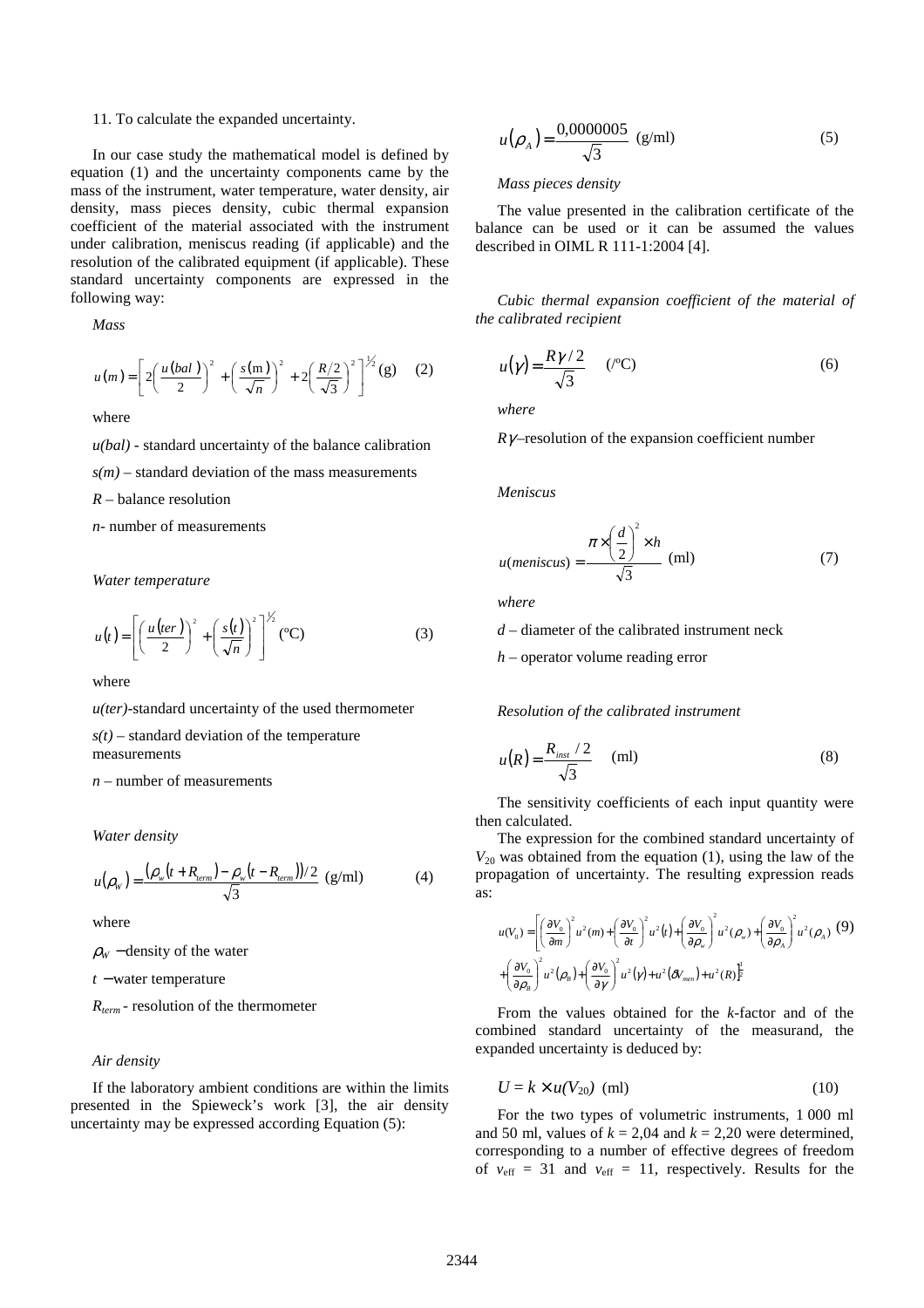#### 11. To calculate the expanded uncertainty.

In our case study the mathematical model is defined by equation (1) and the uncertainty components came by the mass of the instrument, water temperature, water density, air density, mass pieces density, cubic thermal expansion coefficient of the material associated with the instrument under calibration, meniscus reading (if applicable) and the resolution of the calibrated equipment (if applicable). These standard uncertainty components are expressed in the following way:

*Mass* 

$$
u(m) = \left[ 2 \left( \frac{u(bal)}{2} \right)^2 + \left( \frac{s(m)}{\sqrt{n}} \right)^2 + 2 \left( \frac{R/2}{\sqrt{3}} \right)^2 \right]^{1/2} (g) \quad (2)
$$

where

*u(bal)* - standard uncertainty of the balance calibration  $s(m)$  – standard deviation of the mass measurements *R* – balance resolution *n*- number of measurements

*Water temperature* 

$$
u(t) = \left[ \left( \frac{u(ter)}{2} \right)^2 + \left( \frac{s(t)}{\sqrt{n}} \right)^2 \right]^{1/2} (^{\circ}\text{C}) \tag{3}
$$

where

*u(ter)*-standard uncertainty of the used thermometer

 $s(t)$  – standard deviation of the temperature

measurements

*n* – number of measurements

*Water density* 

$$
u(\rho_w) = \frac{(\rho_w(t + R_{term}) - \rho_w(t - R_{term}))/2}{\sqrt{3}} \text{ (g/ml)} \tag{4}
$$

where

 $\rho_W$  – density of the water

*t* <sup>−</sup> water temperature

*Rterm -* resolution of the thermometer

## *Air density*

If the laboratory ambient conditions are within the limits presented in the Spieweck's work [3], the air density uncertainty may be expressed according Equation (5):

$$
u(\rho_A) = \frac{0,0000005}{\sqrt{3}} \text{ (g/ml)} \tag{5}
$$

#### *Mass pieces density*

The value presented in the calibration certificate of the balance can be used or it can be assumed the values described in OIML R 111-1:2004 [4].

*Cubic thermal expansion coefficient of the material of the calibrated recipient* 

$$
u(\gamma) = \frac{R\gamma/2}{\sqrt{3}} \qquad (^{\circ}C)
$$
 (6)

*where* 

 $R\gamma$ –resolution of the expansion coefficient number

*Meniscus* 

$$
u(meniscus) = \frac{\pi \times \left(\frac{d}{2}\right)^2 \times h}{\sqrt{3}} \text{ (ml)}
$$
 (7)

*where* 

*d* – diameter of the calibrated instrument neck

*h* – operator volume reading error

*Resolution of the calibrated instrument* 

$$
u(R) = \frac{R_{inst}/2}{\sqrt{3}} \quad (ml)
$$
 (8)

The sensitivity coefficients of each input quantity were then calculated.

The expression for the combined standard uncertainty of  $V_{20}$  was obtained from the equation (1), using the law of the propagation of uncertainty. The resulting expression reads as:

$$
u(V_0) = \left[ \left( \frac{\partial V_0}{\partial m} \right)^2 u^2(m) + \left( \frac{\partial V_0}{\partial t} \right)^2 u^2(t) + \left( \frac{\partial V_0}{\partial \rho_w} \right)^2 u^2(\rho_w) + \left( \frac{\partial V_0}{\partial \rho_A} \right)^2 u^2(\rho_A)
$$
 (9)  
+ 
$$
\left( \frac{\partial V_0}{\partial \rho_B} \right)^2 u^2(\rho_B) + \left( \frac{\partial V_0}{\partial \gamma} \right)^2 u^2(\gamma) + u^2(\delta V_{\text{max}}) + u^2(R) \right]^{\frac{1}{2}}
$$

From the values obtained for the *k*-factor and of the combined standard uncertainty of the measurand, the expanded uncertainty is deduced by:

$$
U = k \times u(V_{20}) \text{ (ml)} \tag{10}
$$

For the two types of volumetric instruments, 1 000 ml and 50 ml, values of  $k = 2.04$  and  $k = 2.20$  were determined, corresponding to a number of effective degrees of freedom of  $v_{\text{eff}} = 31$  and  $v_{\text{eff}} = 11$ , respectively. Results for the